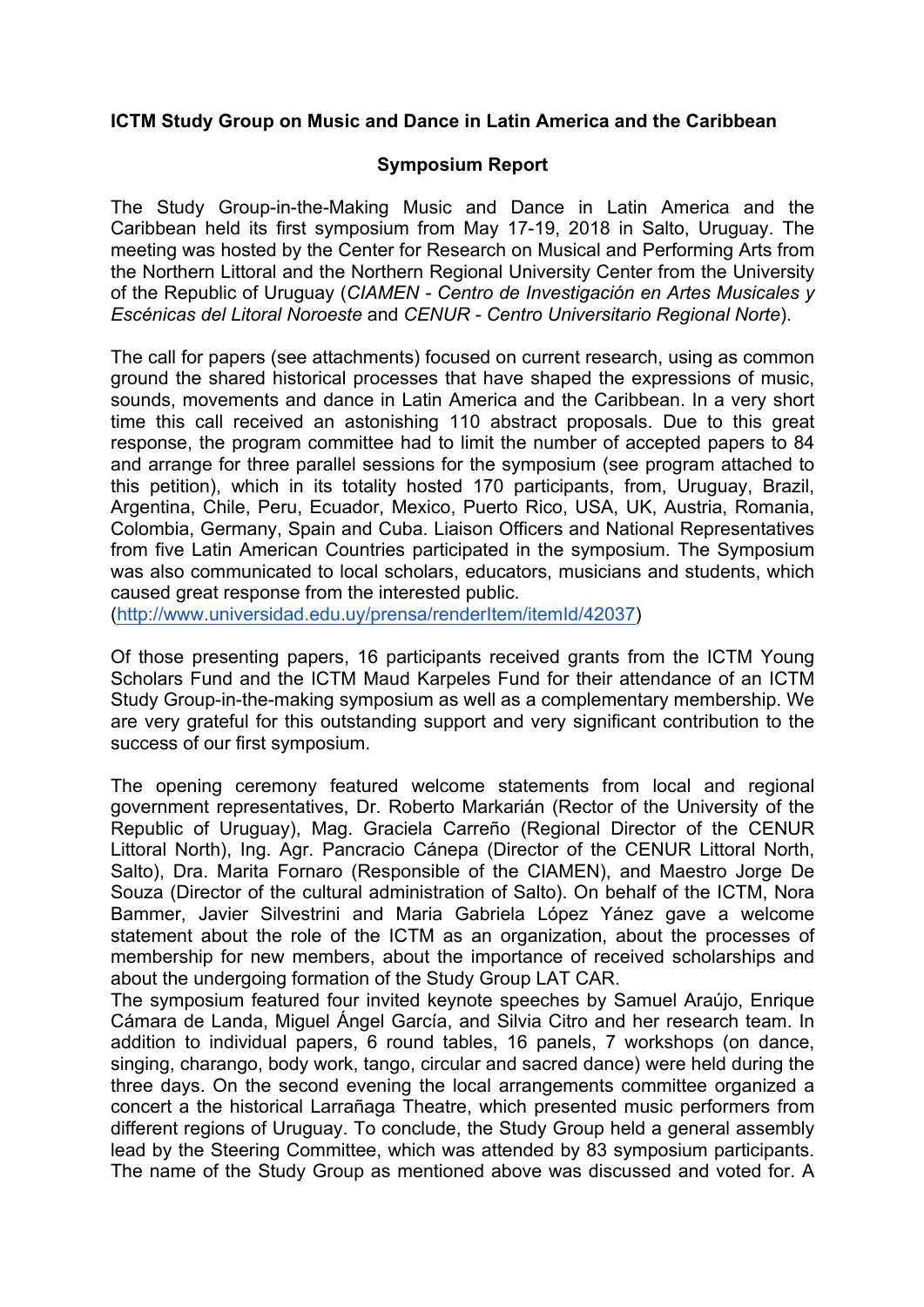## **ICTM Study Group on Music and Dance in Latin America and the Caribbean**

## **Symposium Report**

The Study Group-in-the-Making Music and Dance in Latin America and the Caribbean held its first symposium from May 17-19, 2018 in Salto, Uruguay. The meeting was hosted by the Center for Research on Musical and Performing Arts from the Northern Littoral and the Northern Regional University Center from the University of the Republic of Uruguay (*CIAMEN - Centro de Investigación en Artes Musicales y Escénicas del Litoral Noroeste* and *CENUR - Centro Universitario Regional Norte*).

The call for papers (see attachments) focused on current research, using as common ground the shared historical processes that have shaped the expressions of music, sounds, movements and dance in Latin America and the Caribbean. In a very short time this call received an astonishing 110 abstract proposals. Due to this great response, the program committee had to limit the number of accepted papers to 84 and arrange for three parallel sessions for the symposium (see program attached to this petition), which in its totality hosted 170 participants, from, Uruguay, Brazil, Argentina, Chile, Peru, Ecuador, Mexico, Puerto Rico, USA, UK, Austria, Romania, Colombia, Germany, Spain and Cuba. Liaison Officers and National Representatives from five Latin American Countries participated in the symposium. The Symposium was also communicated to local scholars, educators, musicians and students, which caused great response from the interested public.

(http://www.universidad.edu.uy/prensa/renderItem/itemId/42037)

Of those presenting papers, 16 participants received grants from the ICTM Young Scholars Fund and the ICTM Maud Karpeles Fund for their attendance of an ICTM Study Group-in-the-making symposium as well as a complementary membership. We are very grateful for this outstanding support and very significant contribution to the success of our first symposium.

The opening ceremony featured welcome statements from local and regional government representatives, Dr. Roberto Markarián (Rector of the University of the Republic of Uruguay), Mag. Graciela Carreño (Regional Director of the CENUR Littoral North), Ing. Agr. Pancracio Cánepa (Director of the CENUR Littoral North, Salto), Dra. Marita Fornaro (Responsible of the CIAMEN), and Maestro Jorge De Souza (Director of the cultural administration of Salto). On behalf of the ICTM, Nora Bammer, Javier Silvestrini and Maria Gabriela López Yánez gave a welcome statement about the role of the ICTM as an organization, about the processes of membership for new members, about the importance of received scholarships and about the undergoing formation of the Study Group LAT CAR.

The symposium featured four invited keynote speeches by Samuel Araújo, Enrique Cámara de Landa, Miguel Ángel García, and Silvia Citro and her research team. In addition to individual papers, 6 round tables, 16 panels, 7 workshops (on dance, singing, charango, body work, tango, circular and sacred dance) were held during the three days. On the second evening the local arrangements committee organized a concert a the historical Larrañaga Theatre, which presented music performers from different regions of Uruguay. To conclude, the Study Group held a general assembly lead by the Steering Committee, which was attended by 83 symposium participants. The name of the Study Group as mentioned above was discussed and voted for. A